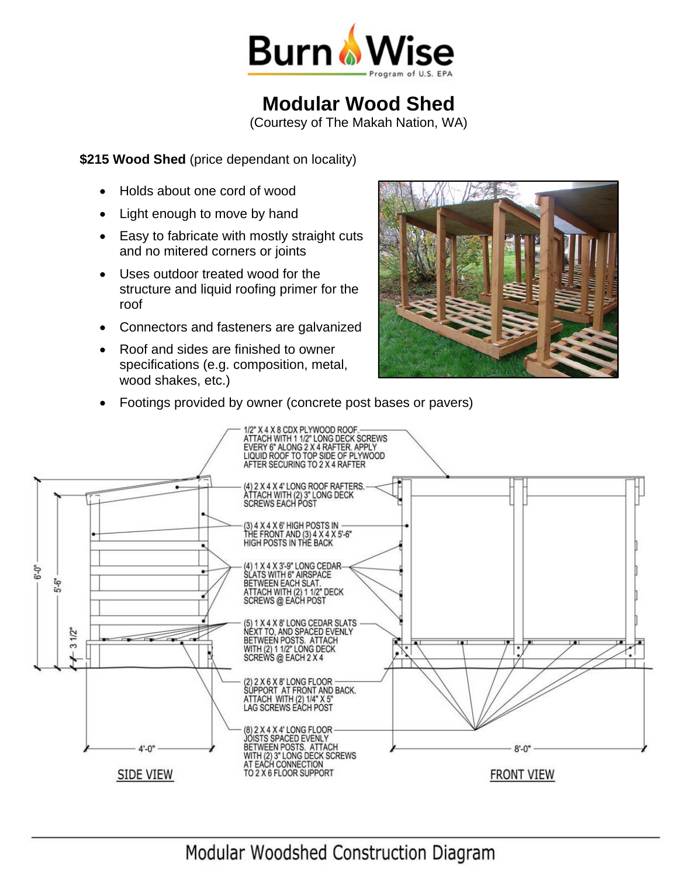

## **Modular Wood Shed**

(Courtesy of The Makah Nation, WA)

**\$215 Wood Shed** (price dependant on locality)

- Holds about one cord of wood
- Light enough to move by hand
- Easy to fabricate with mostly straight cuts and no mitered corners or joints
- Uses outdoor treated wood for the structure and liquid roofing primer for the roof
- Connectors and fasteners are galvanized
- Roof and sides are finished to owner specifications (e.g. composition, metal, wood shakes, etc.)



Footings provided by owner (concrete post bases or pavers)